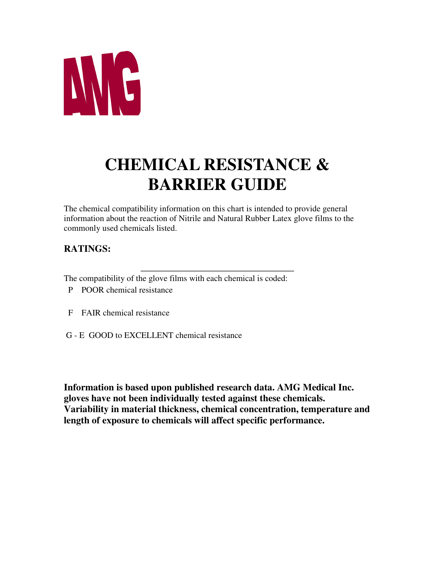

## **CHEMICAL RESISTANCE & BARRIER GUIDE**

The chemical compatibility information on this chart is intended to provide general information about the reaction of Nitrile and Natural Rubber Latex glove films to the commonly used chemicals listed.

## **RATINGS:**

The compatibility of the glove films with each chemical is coded:

- P POOR chemical resistance
- F FAIR chemical resistance
- G E GOOD to EXCELLENT chemical resistance

**Information is based upon published research data. AMG Medical Inc. gloves have not been individually tested against these chemicals. Variability in material thickness, chemical concentration, temperature and length of exposure to chemicals will affect specific performance.**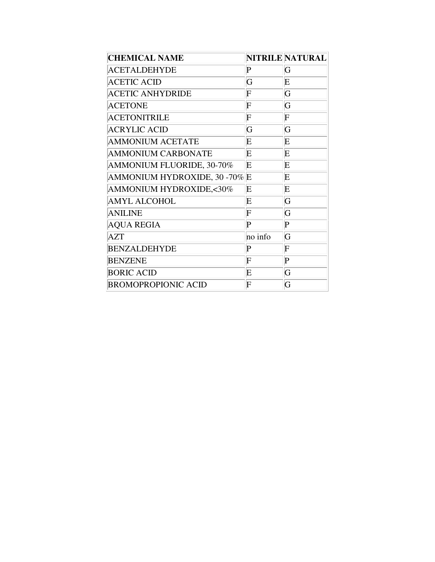| <b>CHEMICAL NAME</b>          |             | NITRILE NATURAL |
|-------------------------------|-------------|-----------------|
| <b>ACETALDEHYDE</b>           | $\mathbf P$ | G               |
| <b>ACETIC ACID</b>            | G           | E               |
| <b>ACETIC ANHYDRIDE</b>       | F           | G               |
| <b>ACETONE</b>                | F           | G               |
| <b>ACETONITRILE</b>           | F           | F               |
| <b>ACRYLIC ACID</b>           | G           | G               |
| <b>AMMONIUM ACETATE</b>       | E           | E               |
| <b>AMMONIUM CARBONATE</b>     | E           | E               |
| AMMONIUM FLUORIDE, 30-70%     | E           | E               |
| AMMONIUM HYDROXIDE, 30 -70% E |             | E               |
| AMMONIUM HYDROXIDE,<30%       | E           | E               |
| <b>AMYL ALCOHOL</b>           | E           | G               |
| <b>ANILINE</b>                | F           | G               |
| <b>AQUA REGIA</b>             | P           | $\mathbf P$     |
| <b>AZT</b>                    | no info     | G               |
| <b>BENZALDEHYDE</b>           | P           | F               |
| <b>BENZENE</b>                | F           | P               |
| <b>BORIC ACID</b>             | E           | G               |
| <b>BROMOPROPIONIC ACID</b>    | F           | G               |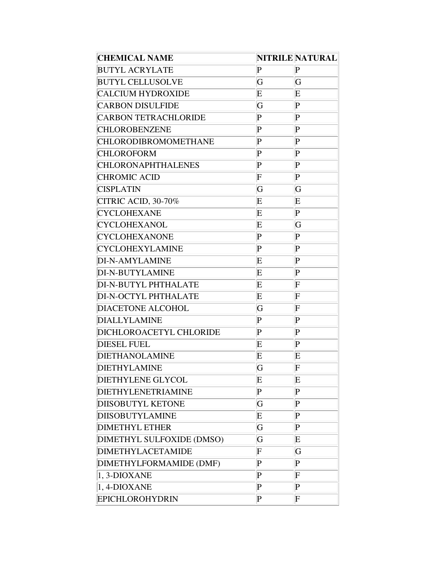| <b>CHEMICAL NAME</b>        |                | <b>NITRILE NATURAL</b> |
|-----------------------------|----------------|------------------------|
| <b>BUTYL ACRYLATE</b>       | P              | P                      |
| <b>BUTYL CELLUSOLVE</b>     | G              | G                      |
| <b>CALCIUM HYDROXIDE</b>    | E              | E                      |
| <b>CARBON DISULFIDE</b>     | G              | P                      |
| <b>CARBON TETRACHLORIDE</b> | P              | $\bf P$                |
| <b>CHLOROBENZENE</b>        | $\mathbf P$    | $\mathbf P$            |
| <b>CHLORODIBROMOMETHANE</b> | $\mathbf P$    | P                      |
| <b>CHLOROFORM</b>           | P              | P                      |
| <b>CHLORONAPHTHALENES</b>   | $\mathbf P$    | P                      |
| <b>CHROMIC ACID</b>         | F              | P                      |
| <b>CISPLATIN</b>            | G              | G                      |
| <b>CITRIC ACID, 30-70%</b>  | E              | E                      |
| <b>CYCLOHEXANE</b>          | E              | $\bf P$                |
| <b>CYCLOHEXANOL</b>         | E              | G                      |
| <b>CYCLOHEXANONE</b>        | $\mathbf P$    | $\bf P$                |
| <b>CYCLOHEXYLAMINE</b>      | $\mathbf P$    | $\mathbf P$            |
| DI-N-AMYLAMINE              | E              | $\bf P$                |
| DI-N-BUTYLAMINE             | E              | P                      |
| DI-N-BUTYL PHTHALATE        | E              | F                      |
| DI-N-OCTYL PHTHALATE        | E              | F                      |
| <b>DIACETONE ALCOHOL</b>    | G              | F                      |
| <b>DIALLYLAMINE</b>         | $\mathbf P$    | P                      |
| DICHLOROACETYL CHLORIDE     | P              | P                      |
| <b>DIESEL FUEL</b>          | E              | P                      |
| <b>DIETHANOLAMINE</b>       | E              | E                      |
| <b>DIETHYLAMINE</b>         | G              | F                      |
| <b>DIETHYLENE GLYCOL</b>    | E              | Ε                      |
| DIETHYLENETRIAMINE          | P              | P                      |
| <b>DIISOBUTYL KETONE</b>    | G              | P                      |
| <b>DIISOBUTYLAMINE</b>      | E              | P                      |
| <b>DIMETHYL ETHER</b>       | $\overline{G}$ | P                      |
| DIMETHYL SULFOXIDE (DMSO)   | G              | E                      |
| <b>DIMETHYLACETAMIDE</b>    | F              | G                      |
| DIMETHYLFORMAMIDE (DMF)     | $\bf P$        | P                      |
| 1, 3-DIOXANE                | $\mathbf P$    | F                      |
| 1, 4-DIOXANE                | $\mathbf P$    | $\mathbf P$            |
| <b>EPICHLOROHYDRIN</b>      | $\mathbf P$    | F                      |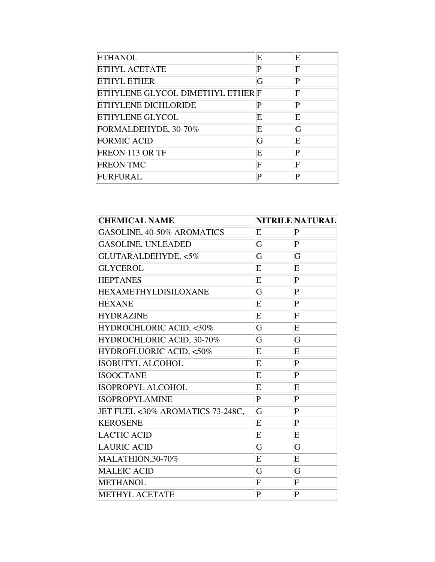| <b>ETHANOL</b>                   | E | E |
|----------------------------------|---|---|
| <b>ETHYL ACETATE</b>             | P | F |
| <b>ETHYL ETHER</b>               | G | P |
| ETHYLENE GLYCOL DIMETHYL ETHER F |   | F |
| <b>ETHYLENE DICHLORIDE</b>       | P | P |
| <b>ETHYLENE GLYCOL</b>           | E | E |
| FORMALDEHYDE, 30-70%             | E | G |
| <b>FORMIC ACID</b>               | G | E |
| FREON 113 OR TF                  | E | P |
| <b>FREON TMC</b>                 | F | F |
| FURFURAL                         | P | Þ |

| <b>CHEMICAL NAME</b>             |             | NITRILE NATURAL |
|----------------------------------|-------------|-----------------|
| GASOLINE, 40-50% AROMATICS       | E           | $\mathbf P$     |
| <b>GASOLINE, UNLEADED</b>        | G           | $\mathbf P$     |
| GLUTARALDEHYDE, <5%              | G           | G               |
| <b>GLYCEROL</b>                  | E           | $\mathbf E$     |
| <b>HEPTANES</b>                  | E           | $\mathbf P$     |
| <b>HEXAMETHYLDISILOXANE</b>      | G           | $\mathbf P$     |
| <b>HEXANE</b>                    | E           | $\mathbf P$     |
| <b>HYDRAZINE</b>                 | E           | F               |
| HYDROCHLORIC ACID, <30%          | G           | E               |
| HYDROCHLORIC ACID, 30-70%        | G           | G               |
| HYDROFLUORIC ACID, <50%          | E           | Ε               |
| <b>ISOBUTYL ALCOHOL</b>          | $\mathbf E$ | $\mathbf P$     |
| <b>ISOOCTANE</b>                 | E           | $\mathsf{P}$    |
| <b>ISOPROPYL ALCOHOL</b>         | E           | E               |
| <b>ISOPROPYLAMINE</b>            | $\bf P$     | $\bf P$         |
| JET FUEL <30% AROMATICS 73-248C, | G           | $\bf P$         |
| <b>KEROSENE</b>                  | Ε           | $\bf P$         |
| <b>LACTIC ACID</b>               | E           | $\mathbf E$     |
| <b>LAURIC ACID</b>               | G           | G               |
| MALATHION, 30-70%                | E           | E               |
| <b>MALEIC ACID</b>               | G           | G               |
| <b>METHANOL</b>                  | F           | F               |
| <b>METHYL ACETATE</b>            | $\bf P$     | $\bf P$         |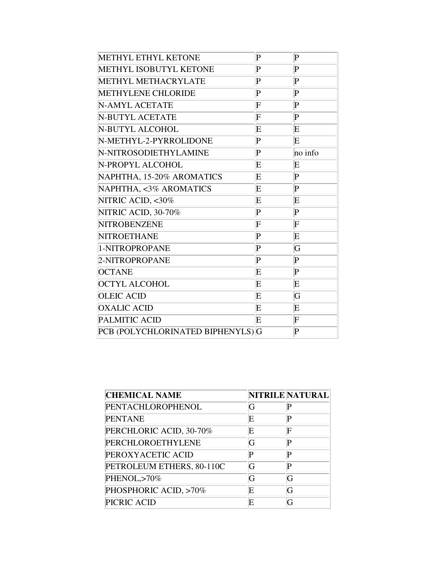| <b>METHYL ETHYL KETONE</b>        | P       | $\mathbf P$ |
|-----------------------------------|---------|-------------|
| METHYL ISOBUTYL KETONE            | P       | $\mathsf P$ |
| <b>METHYL METHACRYLATE</b>        | P       | $\bf P$     |
| <b>METHYLENE CHLORIDE</b>         | $\bf P$ | $\bf P$     |
| N-AMYL ACETATE                    | F       | $\bf P$     |
| N-BUTYL ACETATE                   | F       | $\mathbf P$ |
| N-BUTYL ALCOHOL                   | E       | E           |
| N-METHYL-2-PYRROLIDONE            | $\bf P$ | E           |
| N-NITROSODIETHYLAMINE             | $\bf P$ | no info     |
| N-PROPYL ALCOHOL                  | E       | $\mathbf E$ |
| NAPHTHA, 15-20% AROMATICS         | E       | $\mathsf P$ |
| NAPHTHA, <3% AROMATICS            | E       | $\bf P$     |
| NITRIC ACID, <30%                 | E       | E           |
| NITRIC ACID, 30-70%               | $\bf P$ | $\bf P$     |
| NITROBENZENE                      | F       | F           |
| <b>NITROETHANE</b>                | $\bf P$ | E           |
| 1-NITROPROPANE                    | $\bf P$ | G           |
| 2-NITROPROPANE                    | $\bf P$ | $\bf P$     |
| <b>OCTANE</b>                     | Ε       | $\bf P$     |
| <b>OCTYL ALCOHOL</b>              | E       | E           |
| <b>OLEIC ACID</b>                 | E       | G           |
| <b>OXALIC ACID</b>                | Ε       | E           |
| PALMITIC ACID                     | E       | $\mathbf F$ |
| PCB (POLYCHLORINATED BIPHENYLS) G |         | $\bf P$     |

| <b>CHEMICAL NAME</b>      |   | NITRILE NATURAL |
|---------------------------|---|-----------------|
| PENTACHLOROPHENOL         | G |                 |
| <b>PENTANE</b>            | E | D               |
| PERCHLORIC ACID, 30-70%   | E | F               |
| PERCHLOROETHYLENE         | G |                 |
| PEROXYACETIC ACID         | P | D               |
| PETROLEUM ETHERS, 80-110C | G | D               |
| PHENOL,>70%               | G |                 |
| PHOSPHORIC ACID, >70%     | E |                 |
| PICRIC ACID               | E |                 |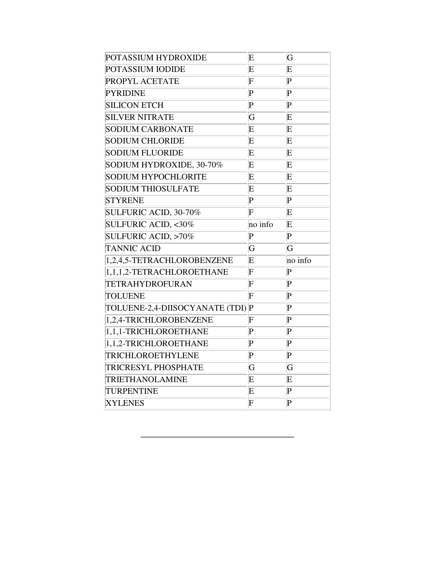| POTASSIUM HYDROXIDE            | E                         | G           |
|--------------------------------|---------------------------|-------------|
| POTASSIUM IODIDE               | E                         | $\mathbf E$ |
| PROPYL ACETATE                 | $\rm{F}$                  | $\bf P$     |
| <b>PYRIDINE</b>                | $\bf P$                   | $\bf P$     |
| <b>SILICON ETCH</b>            | P                         | $\bf P$     |
| <b>SILVER NITRATE</b>          | G                         | E           |
| <b>SODIUM CARBONATE</b>        | E                         | E           |
| <b>SODIUM CHLORIDE</b>         | Ε                         | $\mathbf E$ |
| <b>SODIUM FLUORIDE</b>         | E                         | E           |
| SODIUM HYDROXIDE, 30-70%       | Ε                         | $\mathbf E$ |
| <b>SODIUM HYPOCHLORITE</b>     | E                         | E           |
| <b>SODIUM THIOSULFATE</b>      | Ε                         | $\mathbf E$ |
| <b>STYRENE</b>                 | $\bf P$                   | $\bf P$     |
| SULFURIC ACID, 30-70%          | F                         | $\mathbf E$ |
| <b>SULFURIC ACID, &lt;30%</b>  | no info                   | $\mathbf E$ |
| <b>SULFURIC ACID, &gt;70%</b>  | $\bf P$                   | $\bf P$     |
| <b>TANNIC ACID</b>             | G                         | G           |
| 1,2,4,5-TETRACHLOROBENZENE     | Ε                         | no info     |
| 1,1,1,2-TETRACHLOROETHANE      | $\bf{F}$                  | $\bf P$     |
| TETRAHYDROFURAN                | $\rm{F}$                  | $\bf P$     |
| <b>TOLUENE</b>                 | $\bf{F}$                  | $\bf P$     |
| TOLUENE-2,4-DIISOCYANATE (TDI) | $\vert \mathrm{P}$        | $\bf P$     |
| 1,2,4-TRICHLOROBENZENE         | F                         | $\bf P$     |
| 1,1,1-TRICHLOROETHANE          | $\bf P$                   | $\bf P$     |
| 1,1,2-TRICHLOROETHANE          | $\bf P$                   | $\bf P$     |
| TRICHLOROETHYLENE              | $\bf P$                   | $\bf P$     |
| TRICRESYL PHOSPHATE            | G                         | G           |
| TRIETHANOLAMINE                | E                         | $\mathbf E$ |
| TURPENTINE                     | Ε                         | $\bf P$     |
| <b>XYLENES</b>                 | $\boldsymbol{\mathrm{F}}$ | $\bf P$     |